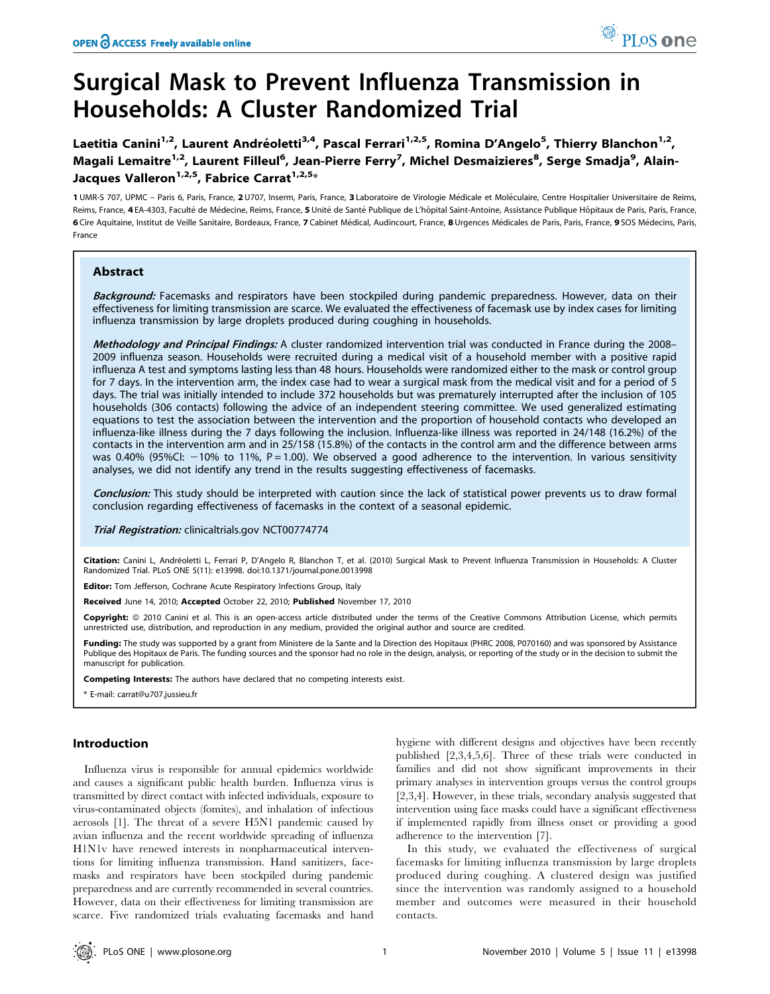# Surgical Mask to Prevent Influenza Transmission in Households: A Cluster Randomized Trial

Laetitia Canini<sup>1,2</sup>, Laurent Andréoletti<sup>3,4</sup>, Pascal Ferrari<sup>1,2,5</sup>, Romina D'Angelo<sup>5</sup>, Thierry Blanchon<sup>1,2</sup>, Magali Lemaitre<sup>1,2</sup>, Laurent Filleul<sup>6</sup>, Jean-Pierre Ferry<sup>7</sup>, Michel Desmaizieres<sup>8</sup>, Serge Smadja<sup>9</sup>, Alain-Jacques Valleron<sup>1,2,5</sup>, Fabrice Carrat<sup>1,2,5</sup>\*

1 UMR-S 707, UPMC - Paris 6, Paris, France, 2 U707, Inserm, Paris, France, 3 Laboratoire de Virologie Médicale et Moléculaire, Centre Hospitalier Universitaire de Reims, Reims, France, 4 EA-4303, Faculté de Médecine, Reims, France, 5 Unité de Santé Publique de L'hôpital Saint-Antoine, Assistance Publique Hôpitaux de Paris, Paris, France, 6 Cire Aquitaine, Institut de Veille Sanitaire, Bordeaux, France, 7 Cabinet Médical, Audincourt, France, 8 Urgences Médicales de Paris, Paris, France, 9 SOS Médecins, Paris, France

# Abstract

Background: Facemasks and respirators have been stockpiled during pandemic preparedness. However, data on their effectiveness for limiting transmission are scarce. We evaluated the effectiveness of facemask use by index cases for limiting influenza transmission by large droplets produced during coughing in households.

Methodology and Principal Findings: A cluster randomized intervention trial was conducted in France during the 2008– 2009 influenza season. Households were recruited during a medical visit of a household member with a positive rapid influenza A test and symptoms lasting less than 48 hours. Households were randomized either to the mask or control group for 7 days. In the intervention arm, the index case had to wear a surgical mask from the medical visit and for a period of 5 days. The trial was initially intended to include 372 households but was prematurely interrupted after the inclusion of 105 households (306 contacts) following the advice of an independent steering committee. We used generalized estimating equations to test the association between the intervention and the proportion of household contacts who developed an influenza-like illness during the 7 days following the inclusion. Influenza-like illness was reported in 24/148 (16.2%) of the contacts in the intervention arm and in 25/158 (15.8%) of the contacts in the control arm and the difference between arms was 0.40% (95%CI:  $-10$ % to 11%, P = 1.00). We observed a good adherence to the intervention. In various sensitivity analyses, we did not identify any trend in the results suggesting effectiveness of facemasks.

Conclusion: This study should be interpreted with caution since the lack of statistical power prevents us to draw formal conclusion regarding effectiveness of facemasks in the context of a seasonal epidemic.

Trial Registration: clinicaltrials.gov NCT00774774

Citation: Canini L, Andréoletti L, Ferrari P, D'Angelo R, Blanchon T, et al. (2010) Surgical Mask to Prevent Influenza Transmission in Households: A Cluster Randomized Trial. PLoS ONE 5(11): e13998. doi:10.1371/journal.pone.0013998

Editor: Tom Jefferson, Cochrane Acute Respiratory Infections Group, Italy

Received June 14, 2010; Accepted October 22, 2010; Published November 17, 2010

Copyright: © 2010 Canini et al. This is an open-access article distributed under the terms of the Creative Commons Attribution License, which permits unrestricted use, distribution, and reproduction in any medium, provided the original author and source are credited.

Funding: The study was supported by a grant from Ministere de la Sante and la Direction des Hopitaux (PHRC 2008, P070160) and was sponsored by Assistance Publique des Hopitaux de Paris. The funding sources and the sponsor had no role in the design, analysis, or reporting of the study or in the decision to submit the manuscript for publication.

Competing Interests: The authors have declared that no competing interests exist.

\* E-mail: carrat@u707.jussieu.fr

# Introduction

Influenza virus is responsible for annual epidemics worldwide and causes a significant public health burden. Influenza virus is transmitted by direct contact with infected individuals, exposure to virus-contaminated objects (fomites), and inhalation of infectious aerosols [1]. The threat of a severe H5N1 pandemic caused by avian influenza and the recent worldwide spreading of influenza H1N1v have renewed interests in nonpharmaceutical interventions for limiting influenza transmission. Hand sanitizers, facemasks and respirators have been stockpiled during pandemic preparedness and are currently recommended in several countries. However, data on their effectiveness for limiting transmission are scarce. Five randomized trials evaluating facemasks and hand hygiene with different designs and objectives have been recently published [2,3,4,5,6]. Three of these trials were conducted in families and did not show significant improvements in their primary analyses in intervention groups versus the control groups [2,3,4]. However, in these trials, secondary analysis suggested that intervention using face masks could have a significant effectiveness if implemented rapidly from illness onset or providing a good adherence to the intervention [7].

In this study, we evaluated the effectiveness of surgical facemasks for limiting influenza transmission by large droplets produced during coughing. A clustered design was justified since the intervention was randomly assigned to a household member and outcomes were measured in their household contacts.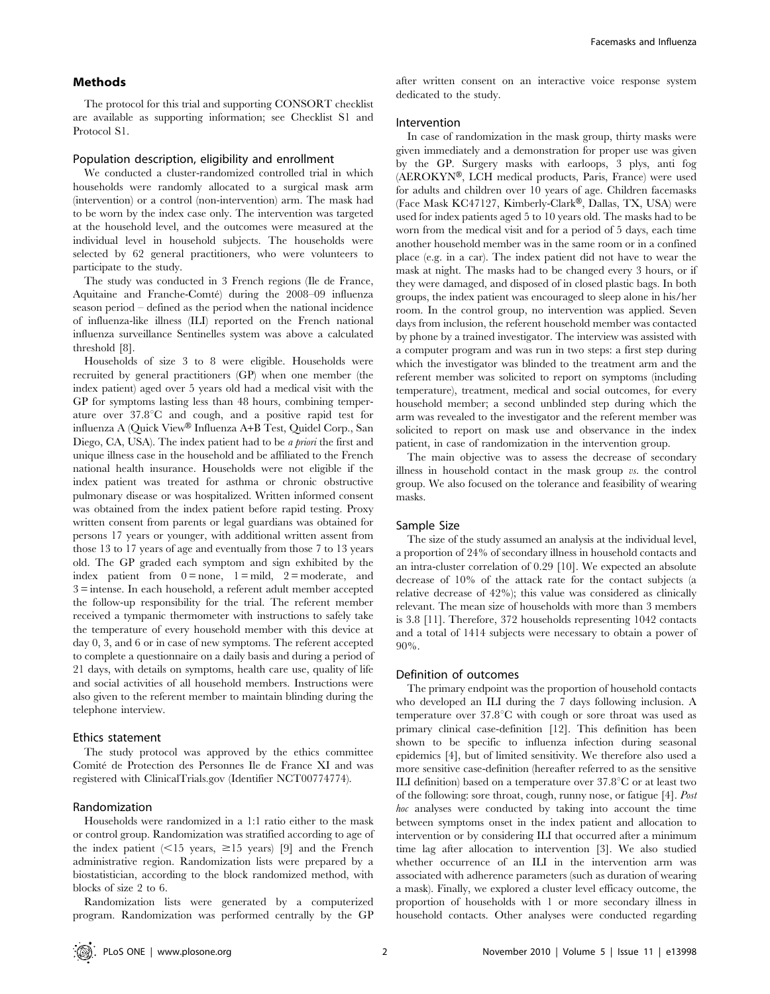# Methods

The protocol for this trial and supporting CONSORT checklist are available as supporting information; see Checklist S1 and Protocol S1.

## Population description, eligibility and enrollment

We conducted a cluster-randomized controlled trial in which households were randomly allocated to a surgical mask arm (intervention) or a control (non-intervention) arm. The mask had to be worn by the index case only. The intervention was targeted at the household level, and the outcomes were measured at the individual level in household subjects. The households were selected by 62 general practitioners, who were volunteers to participate to the study.

The study was conducted in 3 French regions (Ile de France, Aquitaine and Franche-Comté) during the 2008–09 influenza season period – defined as the period when the national incidence of influenza-like illness (ILI) reported on the French national influenza surveillance Sentinelles system was above a calculated threshold [8].

Households of size 3 to 8 were eligible. Households were recruited by general practitioners (GP) when one member (the index patient) aged over 5 years old had a medical visit with the GP for symptoms lasting less than 48 hours, combining temperature over  $37.8^{\circ}$ C and cough, and a positive rapid test for influenza A (Quick View® Influenza A+B Test, Quidel Corp., San Diego, CA, USA). The index patient had to be *a priori* the first and unique illness case in the household and be affiliated to the French national health insurance. Households were not eligible if the index patient was treated for asthma or chronic obstructive pulmonary disease or was hospitalized. Written informed consent was obtained from the index patient before rapid testing. Proxy written consent from parents or legal guardians was obtained for persons 17 years or younger, with additional written assent from those 13 to 17 years of age and eventually from those 7 to 13 years old. The GP graded each symptom and sign exhibited by the index patient from  $0 = none$ ,  $1 = mild$ ,  $2 = moderate$ , and 3 = intense. In each household, a referent adult member accepted the follow-up responsibility for the trial. The referent member received a tympanic thermometer with instructions to safely take the temperature of every household member with this device at day 0, 3, and 6 or in case of new symptoms. The referent accepted to complete a questionnaire on a daily basis and during a period of 21 days, with details on symptoms, health care use, quality of life and social activities of all household members. Instructions were also given to the referent member to maintain blinding during the telephone interview.

## Ethics statement

The study protocol was approved by the ethics committee Comité de Protection des Personnes Ile de France XI and was registered with ClinicalTrials.gov (Identifier NCT00774774).

# Randomization

Households were randomized in a 1:1 ratio either to the mask or control group. Randomization was stratified according to age of the index patient  $\langle$  <15 years,  $\geq$ 15 years) [9] and the French administrative region. Randomization lists were prepared by a biostatistician, according to the block randomized method, with blocks of size 2 to 6.

Randomization lists were generated by a computerized program. Randomization was performed centrally by the GP after written consent on an interactive voice response system dedicated to the study.

## Intervention

In case of randomization in the mask group, thirty masks were given immediately and a demonstration for proper use was given by the GP. Surgery masks with earloops, 3 plys, anti fog (AEROKYN®, LCH medical products, Paris, France) were used for adults and children over 10 years of age. Children facemasks (Face Mask KC47127, Kimberly-Clark®, Dallas, TX, USA) were used for index patients aged 5 to 10 years old. The masks had to be worn from the medical visit and for a period of 5 days, each time another household member was in the same room or in a confined place (e.g. in a car). The index patient did not have to wear the mask at night. The masks had to be changed every 3 hours, or if they were damaged, and disposed of in closed plastic bags. In both groups, the index patient was encouraged to sleep alone in his/her room. In the control group, no intervention was applied. Seven days from inclusion, the referent household member was contacted by phone by a trained investigator. The interview was assisted with a computer program and was run in two steps: a first step during which the investigator was blinded to the treatment arm and the referent member was solicited to report on symptoms (including temperature), treatment, medical and social outcomes, for every household member; a second unblinded step during which the arm was revealed to the investigator and the referent member was solicited to report on mask use and observance in the index patient, in case of randomization in the intervention group.

The main objective was to assess the decrease of secondary illness in household contact in the mask group vs. the control group. We also focused on the tolerance and feasibility of wearing masks.

## Sample Size

The size of the study assumed an analysis at the individual level, a proportion of 24% of secondary illness in household contacts and an intra-cluster correlation of 0.29 [10]. We expected an absolute decrease of 10% of the attack rate for the contact subjects (a relative decrease of 42%); this value was considered as clinically relevant. The mean size of households with more than 3 members is 3.8 [11]. Therefore, 372 households representing 1042 contacts and a total of 1414 subjects were necessary to obtain a power of 90%.

## Definition of outcomes

The primary endpoint was the proportion of household contacts who developed an ILI during the 7 days following inclusion. A temperature over  $37.8^{\circ}$ C with cough or sore throat was used as primary clinical case-definition [12]. This definition has been shown to be specific to influenza infection during seasonal epidemics [4], but of limited sensitivity. We therefore also used a more sensitive case-definition (hereafter referred to as the sensitive ILI definition) based on a temperature over  $37.8^{\circ}$ C or at least two of the following: sore throat, cough, runny nose, or fatigue [4]. Post hoc analyses were conducted by taking into account the time between symptoms onset in the index patient and allocation to intervention or by considering ILI that occurred after a minimum time lag after allocation to intervention [3]. We also studied whether occurrence of an ILI in the intervention arm was associated with adherence parameters (such as duration of wearing a mask). Finally, we explored a cluster level efficacy outcome, the proportion of households with 1 or more secondary illness in household contacts. Other analyses were conducted regarding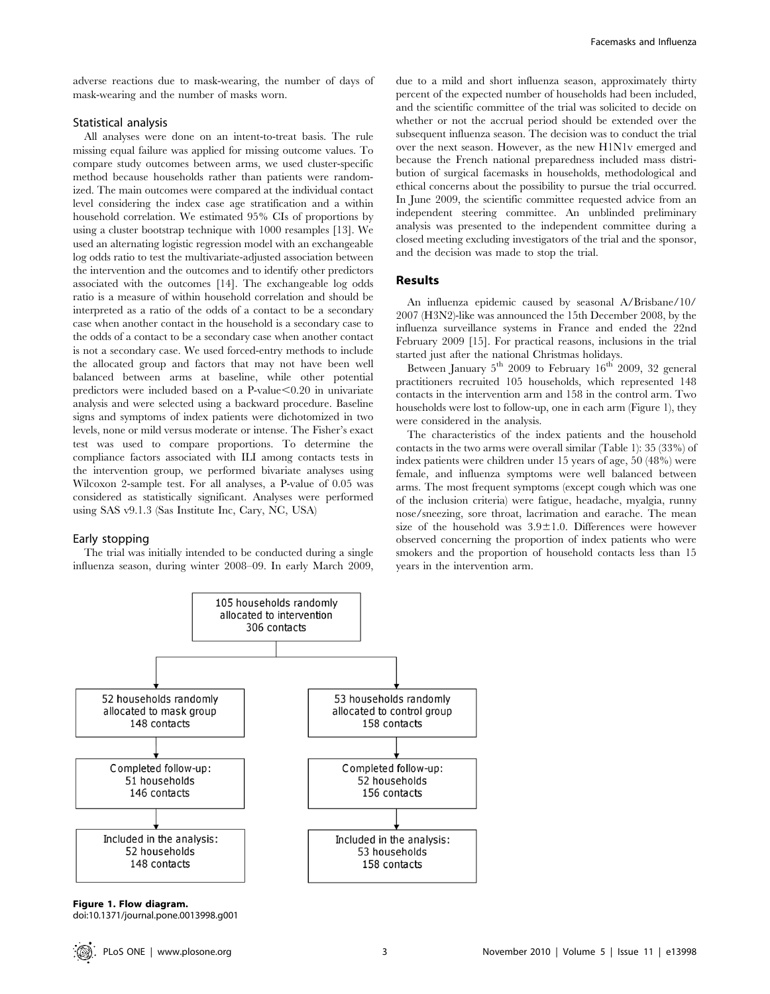adverse reactions due to mask-wearing, the number of days of mask-wearing and the number of masks worn.

# Statistical analysis

All analyses were done on an intent-to-treat basis. The rule missing equal failure was applied for missing outcome values. To compare study outcomes between arms, we used cluster-specific method because households rather than patients were randomized. The main outcomes were compared at the individual contact level considering the index case age stratification and a within household correlation. We estimated 95% CIs of proportions by using a cluster bootstrap technique with 1000 resamples [13]. We used an alternating logistic regression model with an exchangeable log odds ratio to test the multivariate-adjusted association between the intervention and the outcomes and to identify other predictors associated with the outcomes [14]. The exchangeable log odds ratio is a measure of within household correlation and should be interpreted as a ratio of the odds of a contact to be a secondary case when another contact in the household is a secondary case to the odds of a contact to be a secondary case when another contact is not a secondary case. We used forced-entry methods to include the allocated group and factors that may not have been well balanced between arms at baseline, while other potential predictors were included based on a P-value $< 0.20$  in univariate analysis and were selected using a backward procedure. Baseline signs and symptoms of index patients were dichotomized in two levels, none or mild versus moderate or intense. The Fisher's exact test was used to compare proportions. To determine the compliance factors associated with ILI among contacts tests in the intervention group, we performed bivariate analyses using Wilcoxon 2-sample test. For all analyses, a P-value of 0.05 was considered as statistically significant. Analyses were performed using SAS v9.1.3 (Sas Institute Inc, Cary, NC, USA)

#### Early stopping

The trial was initially intended to be conducted during a single influenza season, during winter 2008–09. In early March 2009, due to a mild and short influenza season, approximately thirty percent of the expected number of households had been included, and the scientific committee of the trial was solicited to decide on whether or not the accrual period should be extended over the subsequent influenza season. The decision was to conduct the trial over the next season. However, as the new H1N1v emerged and because the French national preparedness included mass distribution of surgical facemasks in households, methodological and ethical concerns about the possibility to pursue the trial occurred. In June 2009, the scientific committee requested advice from an independent steering committee. An unblinded preliminary analysis was presented to the independent committee during a closed meeting excluding investigators of the trial and the sponsor, and the decision was made to stop the trial.

# Results

An influenza epidemic caused by seasonal A/Brisbane/10/ 2007 (H3N2)-like was announced the 15th December 2008, by the influenza surveillance systems in France and ended the 22nd February 2009 [15]. For practical reasons, inclusions in the trial started just after the national Christmas holidays.

Between January  $5<sup>th</sup>$  2009 to February 16<sup>th</sup> 2009, 32 general practitioners recruited 105 households, which represented 148 contacts in the intervention arm and 158 in the control arm. Two households were lost to follow-up, one in each arm (Figure 1), they were considered in the analysis.

The characteristics of the index patients and the household contacts in the two arms were overall similar (Table 1): 35 (33%) of index patients were children under 15 years of age, 50 (48%) were female, and influenza symptoms were well balanced between arms. The most frequent symptoms (except cough which was one of the inclusion criteria) were fatigue, headache, myalgia, runny nose/sneezing, sore throat, lacrimation and earache. The mean size of the household was  $3.9 \pm 1.0$ . Differences were however observed concerning the proportion of index patients who were smokers and the proportion of household contacts less than 15 years in the intervention arm.



Figure 1. Flow diagram.

doi:10.1371/journal.pone.0013998.g001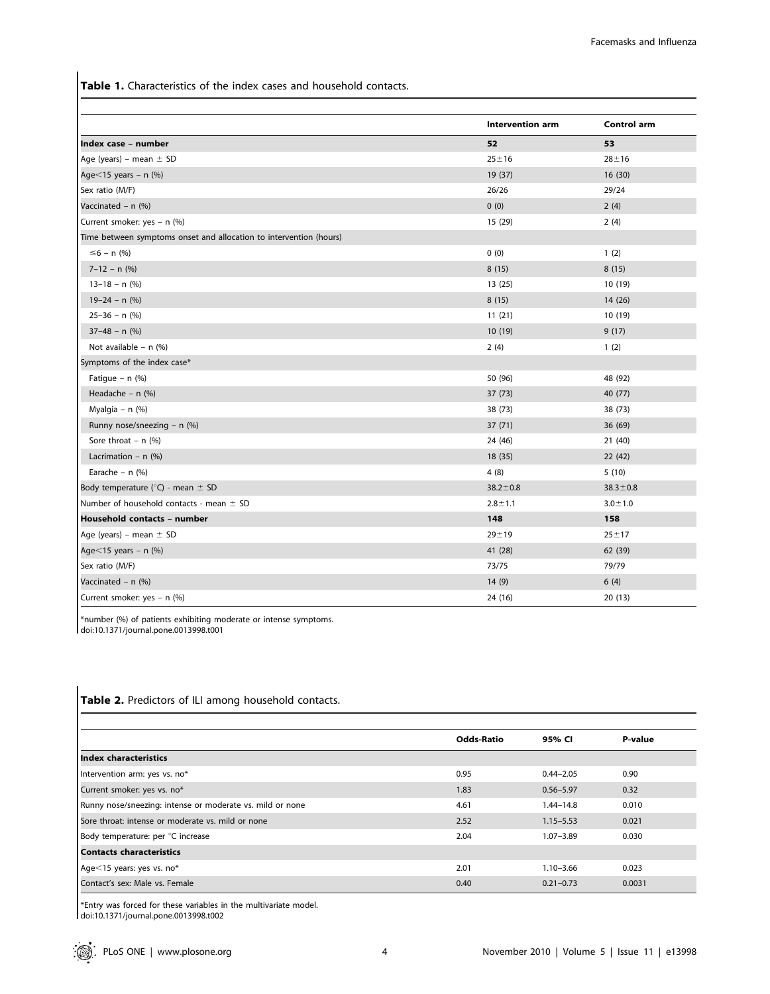Table 1. Characteristics of the index cases and household contacts.

|                                                                    | <b>Intervention arm</b> | <b>Control arm</b> |
|--------------------------------------------------------------------|-------------------------|--------------------|
| Index case - number                                                | 52                      | 53                 |
| Age (years) – mean $\pm$ SD                                        | $25 + 16$               | $28 + 16$          |
| Age $<$ 15 years - n (%)                                           | 19 (37)                 | 16(30)             |
| Sex ratio (M/F)                                                    | 26/26                   | 29/24              |
| Vaccinated - n (%)                                                 | 0(0)                    | 2(4)               |
| Current smoker: yes - n (%)                                        | 15 (29)                 | 2(4)               |
| Time between symptoms onset and allocation to intervention (hours) |                         |                    |
| $\leq 6 - n$ (%)                                                   | 0(0)                    | 1(2)               |
| $7 - 12 - n$ (%)                                                   | 8(15)                   | 8(15)              |
| $13-18 - n$ (%)                                                    | 13(25)                  | 10 (19)            |
| $19-24 - n$ (%)                                                    | 8(15)                   | 14 (26)            |
| $25 - 36 - n$ (%)                                                  | 11(21)                  | 10 (19)            |
| $37-48 - n$ (%)                                                    | 10 (19)                 | 9(17)              |
| Not available - $n$ (%)                                            | 2(4)                    | 1(2)               |
| Symptoms of the index case*                                        |                         |                    |
| Fatigue – $n$ (%)                                                  | 50 (96)                 | 48 (92)            |
| Headache - $n$ (%)                                                 | 37(73)                  | 40 (77)            |
| Myalgia - $n$ (%)                                                  | 38 (73)                 | 38 (73)            |
| Runny nose/sneezing - n $(\%)$                                     | 37(71)                  | 36 (69)            |
| Sore throat $- n$ (%)                                              | 24 (46)                 | 21 (40)            |
| Lacrimation - $n$ (%)                                              | 18 (35)                 | 22 (42)            |
| Earache – $n$ (%)                                                  | 4(8)                    | 5(10)              |
| Body temperature ( $\degree$ C) - mean $\pm$ SD                    | $38.2 \pm 0.8$          | $38.3 \pm 0.8$     |
| Number of household contacts - mean $\pm$ SD                       | $2.8 + 1.1$             | $3.0 + 1.0$        |
| Household contacts - number                                        | 148                     | 158                |
| Age (years) – mean $\pm$ SD                                        | $29 + 19$               | $25 + 17$          |
| Age $<$ 15 years - n $(\%)$                                        | 41 (28)                 | 62 (39)            |
| Sex ratio (M/F)                                                    | 73/75                   | 79/79              |
| Vaccinated - $n$ (%)                                               | 14(9)                   | 6(4)               |
| Current smoker: yes - n (%)                                        | 24 (16)                 | 20(13)             |

\*number (%) of patients exhibiting moderate or intense symptoms. doi:10.1371/journal.pone.0013998.t001

|                                                           | <b>Odds-Ratio</b> | 95% CI        | P-value |
|-----------------------------------------------------------|-------------------|---------------|---------|
| Index characteristics                                     |                   |               |         |
| Intervention arm: yes vs. no*                             | 0.95              | $0.44 - 2.05$ | 0.90    |
| Current smoker: yes vs. no*                               | 1.83              | $0.56 - 5.97$ | 0.32    |
| Runny nose/sneezing: intense or moderate vs. mild or none | 4.61              | $1.44 - 14.8$ | 0.010   |
| Sore throat: intense or moderate vs. mild or none         | 2.52              | $1.15 - 5.53$ | 0.021   |
| Body temperature: per °C increase                         | 2.04              | $1.07 - 3.89$ | 0.030   |
| Contacts characteristics                                  |                   |               |         |
| Age<15 years: yes vs. no*                                 | 2.01              | $1.10 - 3.66$ | 0.023   |
| Contact's sex: Male vs. Female                            | 0.40              | $0.21 - 0.73$ | 0.0031  |

Table 2. Predictors of ILI among household contacts.

\*Entry was forced for these variables in the multivariate model. doi:10.1371/journal.pone.0013998.t002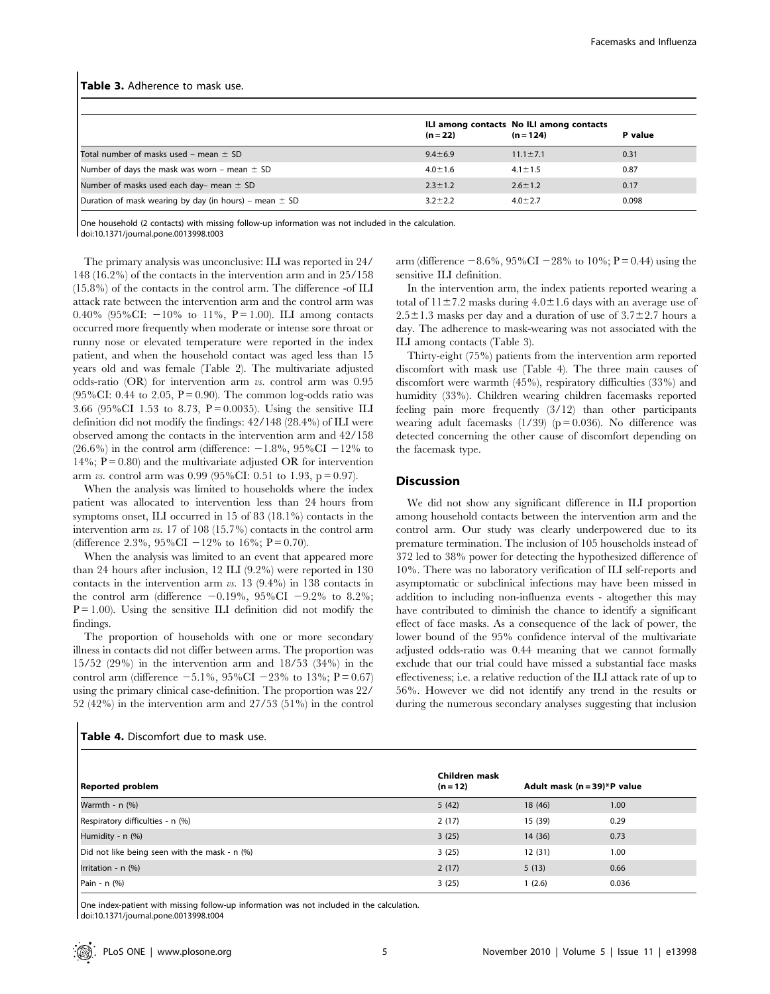| $(n = 124)$<br>$(n = 22)$ |                |                                          |  |
|---------------------------|----------------|------------------------------------------|--|
| $9.4 \pm 6.9$             | $11.1 \pm 7.1$ | 0.31                                     |  |
| $4.0 \pm 1.6$             | $4.1 \pm 1.5$  | 0.87                                     |  |
| $2.3 \pm 1.2$             | $2.6 \pm 1.2$  | 0.17                                     |  |
| $3.2 + 2.2$               | $4.0 \pm 2.7$  | 0.098                                    |  |
|                           |                | ILI among contacts No ILI among contacts |  |

#### Table 3. Adherence to mask use.

One household (2 contacts) with missing follow-up information was not included in the calculation. doi:10.1371/journal.pone.0013998.t003

The primary analysis was unconclusive: ILI was reported in 24/ 148 (16.2%) of the contacts in the intervention arm and in 25/158 (15.8%) of the contacts in the control arm. The difference -of ILI attack rate between the intervention arm and the control arm was 0.40% (95%CI:  $-10\%$  to 11%, P = 1.00). ILI among contacts occurred more frequently when moderate or intense sore throat or runny nose or elevated temperature were reported in the index patient, and when the household contact was aged less than 15 years old and was female (Table 2). The multivariate adjusted odds-ratio (OR) for intervention arm vs. control arm was 0.95 (95%CI: 0.44 to 2.05,  $P = 0.90$ ). The common log-odds ratio was 3.66 (95%CI 1.53 to 8.73,  $P = 0.0035$ ). Using the sensitive ILI definition did not modify the findings: 42/148 (28.4%) of ILI were observed among the contacts in the intervention arm and 42/158 (26.6%) in the control arm (difference:  $-1.8$ %, 95%CI  $-12$ % to 14%;  $P = 0.80$  and the multivariate adjusted OR for intervention arm vs. control arm was 0.99 (95%CI: 0.51 to 1.93,  $p = 0.97$ ).

When the analysis was limited to households where the index patient was allocated to intervention less than 24 hours from symptoms onset, ILI occurred in 15 of 83 (18.1%) contacts in the intervention arm vs. 17 of 108 (15.7%) contacts in the control arm (difference 2.3%, 95%CI  $-12%$  to 16%; P = 0.70).

When the analysis was limited to an event that appeared more than 24 hours after inclusion, 12 ILI (9.2%) were reported in 130 contacts in the intervention arm vs. 13 (9.4%) in 138 contacts in the control arm (difference  $-0.19\%$ , 95%CI  $-9.2\%$  to 8.2%;  $P = 1.00$ ). Using the sensitive ILI definition did not modify the findings.

The proportion of households with one or more secondary illness in contacts did not differ between arms. The proportion was 15/52 (29%) in the intervention arm and 18/53 (34%) in the control arm (difference  $-5.1\%$ , 95%CI  $-23\%$  to 13%; P = 0.67) using the primary clinical case-definition. The proportion was  $22/52$  (42%) in the intervention arm and  $27/53$  (51%) in the control  $-$  4 97/53 (51%) in the control

|  |  | $(270)$ in the intervention arm and $(27733)$ (31.70) |  |  |  |
|--|--|-------------------------------------------------------|--|--|--|
|  |  |                                                       |  |  |  |
|  |  |                                                       |  |  |  |

Table 4. Discomfort due to mask use.

arm (difference  $-8.6\%$ , 95%CI  $-28\%$  to 10%; P = 0.44) using the sensitive ILI definition.

In the intervention arm, the index patients reported wearing a total of  $11\pm7.2$  masks during  $4.0\pm1.6$  days with an average use of  $2.5\pm1.3$  masks per day and a duration of use of  $3.7\pm2.7$  hours a day. The adherence to mask-wearing was not associated with the ILI among contacts (Table 3).

Thirty-eight (75%) patients from the intervention arm reported discomfort with mask use (Table 4). The three main causes of discomfort were warmth (45%), respiratory difficulties (33%) and humidity (33%). Children wearing children facemasks reported feeling pain more frequently (3/12) than other participants wearing adult facemasks  $(1/39)$  (p = 0.036). No difference was detected concerning the other cause of discomfort depending on the facemask type.

# Discussion

We did not show any significant difference in ILI proportion among household contacts between the intervention arm and the control arm. Our study was clearly underpowered due to its premature termination. The inclusion of 105 households instead of 372 led to 38% power for detecting the hypothesized difference of 10%. There was no laboratory verification of ILI self-reports and asymptomatic or subclinical infections may have been missed in addition to including non-influenza events - altogether this may have contributed to diminish the chance to identify a significant effect of face masks. As a consequence of the lack of power, the lower bound of the 95% confidence interval of the multivariate adjusted odds-ratio was 0.44 meaning that we cannot formally exclude that our trial could have missed a substantial face masks effectiveness; i.e. a relative reduction of the ILI attack rate of up to 56%. However we did not identify any trend in the results or during the numerous secondary analyses suggesting that inclusion

| <b>Reported problem</b>                       | Children mask<br>$(n = 12)$ | Adult mask $(n = 39)*P$ value |       |  |
|-----------------------------------------------|-----------------------------|-------------------------------|-------|--|
| Warmth - $n$ (%)                              | 5(42)                       | 18 (46)                       | 1.00  |  |
| Respiratory difficulties - n (%)              | 2(17)                       | 15 (39)                       | 0.29  |  |
| Humidity - n (%)                              | 3(25)                       | 14 (36)                       | 0.73  |  |
| Did not like being seen with the mask - n (%) | 3(25)                       | 12(31)                        | 1.00  |  |
| Irritation - n (%)                            | 2(17)                       | 5(13)                         | 0.66  |  |
| Pain - n (%)                                  | 3(25)                       | 1(2.6)                        | 0.036 |  |

One index-patient with missing follow-up information was not included in the calculation. doi:10.1371/journal.pone.0013998.t004